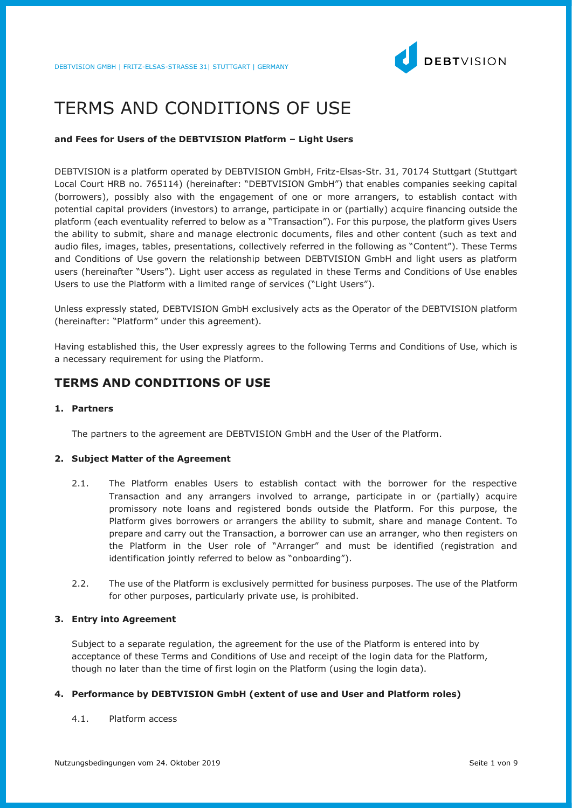

# TERMS AND CONDITIONS OF USE

## **and Fees for Users of the DEBTVISION Platform – Light Users**

DEBTVISION is a platform operated by DEBTVISION GmbH, Fritz-Elsas-Str. 31, 70174 Stuttgart (Stuttgart Local Court HRB no. 765114) (hereinafter: "DEBTVISION GmbH") that enables companies seeking capital (borrowers), possibly also with the engagement of one or more arrangers, to establish contact with potential capital providers (investors) to arrange, participate in or (partially) acquire financing outside the platform (each eventuality referred to below as a "Transaction"). For this purpose, the platform gives Users the ability to submit, share and manage electronic documents, files and other content (such as text and audio files, images, tables, presentations, collectively referred in the following as "Content"). These Terms and Conditions of Use govern the relationship between DEBTVISION GmbH and light users as platform users (hereinafter "Users"). Light user access as regulated in these Terms and Conditions of Use enables Users to use the Platform with a limited range of services ("Light Users").

Unless expressly stated, DEBTVISION GmbH exclusively acts as the Operator of the DEBTVISION platform (hereinafter: "Platform" under this agreement).

Having established this, the User expressly agrees to the following Terms and Conditions of Use, which is a necessary requirement for using the Platform.

## **TERMS AND CONDITIONS OF USE**

## **1. Partners**

The partners to the agreement are DEBTVISION GmbH and the User of the Platform.

#### **2. Subject Matter of the Agreement**

- 2.1. The Platform enables Users to establish contact with the borrower for the respective Transaction and any arrangers involved to arrange, participate in or (partially) acquire promissory note loans and registered bonds outside the Platform. For this purpose, the Platform gives borrowers or arrangers the ability to submit, share and manage Content. To prepare and carry out the Transaction, a borrower can use an arranger, who then registers on the Platform in the User role of "Arranger" and must be identified (registration and identification jointly referred to below as "onboarding").
- 2.2. The use of the Platform is exclusively permitted for business purposes. The use of the Platform for other purposes, particularly private use, is prohibited.

## **3. Entry into Agreement**

Subject to a separate regulation, the agreement for the use of the Platform is entered into by acceptance of these Terms and Conditions of Use and receipt of the login data for the Platform, though no later than the time of first login on the Platform (using the login data).

## **4. Performance by DEBTVISION GmbH (extent of use and User and Platform roles)**

## 4.1. Platform access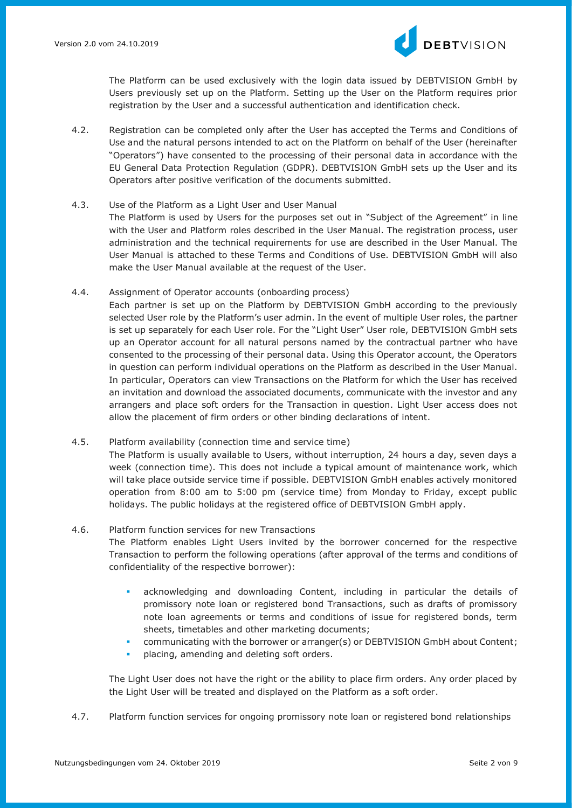

The Platform can be used exclusively with the login data issued by DEBTVISION GmbH by Users previously set up on the Platform. Setting up the User on the Platform requires prior registration by the User and a successful authentication and identification check.

- 4.2. Registration can be completed only after the User has accepted the Terms and Conditions of Use and the natural persons intended to act on the Platform on behalf of the User (hereinafter "Operators") have consented to the processing of their personal data in accordance with the EU General Data Protection Regulation (GDPR). DEBTVISION GmbH sets up the User and its Operators after positive verification of the documents submitted.
- 4.3. Use of the Platform as a Light User and User Manual The Platform is used by Users for the purposes set out in "Subject of the Agreement" in line with the User and Platform roles described in the User Manual. The registration process, user administration and the technical requirements for use are described in the User Manual. The User Manual is attached to these Terms and Conditions of Use. DEBTVISION GmbH will also

make the User Manual available at the request of the User.

- 4.4. Assignment of Operator accounts (onboarding process) Each partner is set up on the Platform by DEBTVISION GmbH according to the previously selected User role by the Platform's user admin. In the event of multiple User roles, the partner is set up separately for each User role. For the "Light User" User role, DEBTVISION GmbH sets up an Operator account for all natural persons named by the contractual partner who have consented to the processing of their personal data. Using this Operator account, the Operators in question can perform individual operations on the Platform as described in the User Manual. In particular, Operators can view Transactions on the Platform for which the User has received an invitation and download the associated documents, communicate with the investor and any arrangers and place soft orders for the Transaction in question. Light User access does not allow the placement of firm orders or other binding declarations of intent.
- 4.5. Platform availability (connection time and service time) The Platform is usually available to Users, without interruption, 24 hours a day, seven days a week (connection time). This does not include a typical amount of maintenance work, which will take place outside service time if possible. DEBTVISION GmbH enables actively monitored operation from 8:00 am to 5:00 pm (service time) from Monday to Friday, except public holidays. The public holidays at the registered office of DEBTVISION GmbH apply.

## 4.6. Platform function services for new Transactions

- The Platform enables Light Users invited by the borrower concerned for the respective Transaction to perform the following operations (after approval of the terms and conditions of confidentiality of the respective borrower):
	- acknowledging and downloading Content, including in particular the details of promissory note loan or registered bond Transactions, such as drafts of promissory note loan agreements or terms and conditions of issue for registered bonds, term sheets, timetables and other marketing documents;
	- communicating with the borrower or arranger(s) or DEBTVISION GmbH about Content;
	- placing, amending and deleting soft orders.

The Light User does not have the right or the ability to place firm orders. Any order placed by the Light User will be treated and displayed on the Platform as a soft order.

4.7. Platform function services for ongoing promissory note loan or registered bond relationships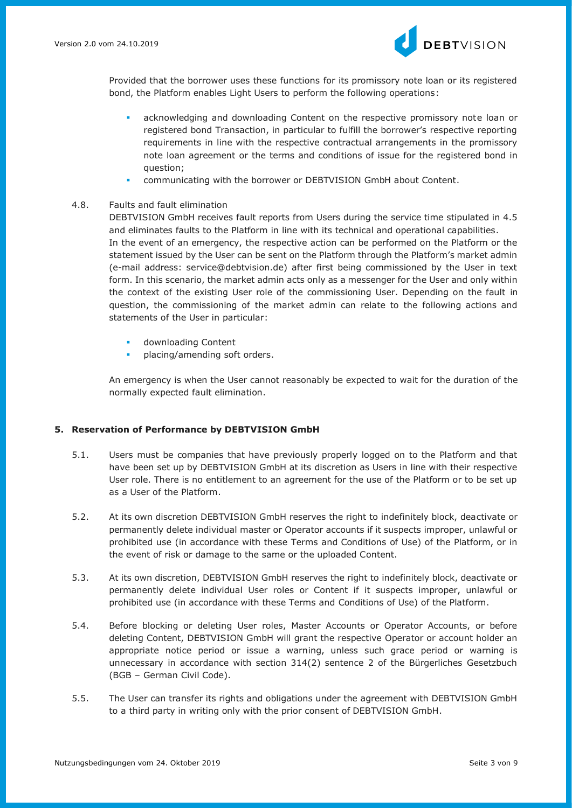

Provided that the borrower uses these functions for its promissory note loan or its registered bond, the Platform enables Light Users to perform the following operations:

- acknowledging and downloading Content on the respective promissory note loan or registered bond Transaction, in particular to fulfill the borrower's respective reporting requirements in line with the respective contractual arrangements in the promissory note loan agreement or the terms and conditions of issue for the registered bond in question;
- communicating with the borrower or DEBTVISION GmbH about Content.

## 4.8. Faults and fault elimination

DEBTVISION GmbH receives fault reports from Users during the service time stipulated in 4.5 and eliminates faults to the Platform in line with its technical and operational capabilities. In the event of an emergency, the respective action can be performed on the Platform or the statement issued by the User can be sent on the Platform through the Platform's market admin (e-mail address: service@debtvision.de) after first being commissioned by the User in text form. In this scenario, the market admin acts only as a messenger for the User and only within the context of the existing User role of the commissioning User. Depending on the fault in question, the commissioning of the market admin can relate to the following actions and statements of the User in particular:

- downloading Content
- placing/amending soft orders.

An emergency is when the User cannot reasonably be expected to wait for the duration of the normally expected fault elimination.

## **5. Reservation of Performance by DEBTVISION GmbH**

- 5.1. Users must be companies that have previously properly logged on to the Platform and that have been set up by DEBTVISION GmbH at its discretion as Users in line with their respective User role. There is no entitlement to an agreement for the use of the Platform or to be set up as a User of the Platform.
- 5.2. At its own discretion DEBTVISION GmbH reserves the right to indefinitely block, deactivate or permanently delete individual master or Operator accounts if it suspects improper, unlawful or prohibited use (in accordance with these Terms and Conditions of Use) of the Platform, or in the event of risk or damage to the same or the uploaded Content.
- 5.3. At its own discretion, DEBTVISION GmbH reserves the right to indefinitely block, deactivate or permanently delete individual User roles or Content if it suspects improper, unlawful or prohibited use (in accordance with these Terms and Conditions of Use) of the Platform.
- 5.4. Before blocking or deleting User roles, Master Accounts or Operator Accounts, or before deleting Content, DEBTVISION GmbH will grant the respective Operator or account holder an appropriate notice period or issue a warning, unless such grace period or warning is unnecessary in accordance with section 314(2) sentence 2 of the Bürgerliches Gesetzbuch (BGB – German Civil Code).
- 5.5. The User can transfer its rights and obligations under the agreement with DEBTVISION GmbH to a third party in writing only with the prior consent of DEBTVISION GmbH.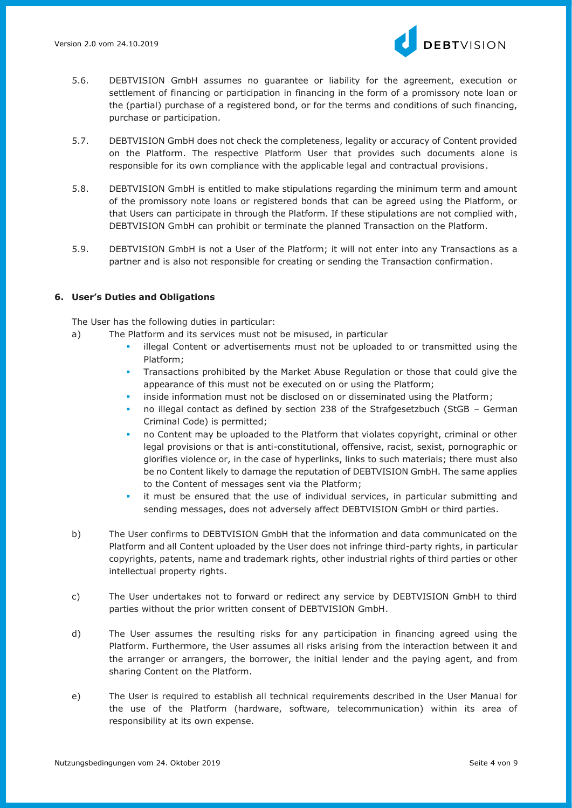

- 5.6. DEBTVISION GmbH assumes no guarantee or liability for the agreement, execution or settlement of financing or participation in financing in the form of a promissory note loan or the (partial) purchase of a registered bond, or for the terms and conditions of such financing, purchase or participation.
- 5.7. DEBTVISION GmbH does not check the completeness, legality or accuracy of Content provided on the Platform. The respective Platform User that provides such documents alone is responsible for its own compliance with the applicable legal and contractual provisions.
- 5.8. DEBTVISION GmbH is entitled to make stipulations regarding the minimum term and amount of the promissory note loans or registered bonds that can be agreed using the Platform, or that Users can participate in through the Platform. If these stipulations are not complied with, DEBTVISION GmbH can prohibit or terminate the planned Transaction on the Platform.
- 5.9. DEBTVISION GmbH is not a User of the Platform; it will not enter into any Transactions as a partner and is also not responsible for creating or sending the Transaction confirmation.

## **6. User's Duties and Obligations**

The User has the following duties in particular:

- a) The Platform and its services must not be misused, in particular
	- illegal Content or advertisements must not be uploaded to or transmitted using the Platform;
	- Transactions prohibited by the Market Abuse Regulation or those that could give the appearance of this must not be executed on or using the Platform;
	- inside information must not be disclosed on or disseminated using the Platform;
	- no illegal contact as defined by section 238 of the Strafgesetzbuch (StGB German Criminal Code) is permitted;
	- no Content may be uploaded to the Platform that violates copyright, criminal or other legal provisions or that is anti-constitutional, offensive, racist, sexist, pornographic or glorifies violence or, in the case of hyperlinks, links to such materials; there must also be no Content likely to damage the reputation of DEBTVISION GmbH. The same applies to the Content of messages sent via the Platform;
	- it must be ensured that the use of individual services, in particular submitting and sending messages, does not adversely affect DEBTVISION GmbH or third parties.
- b) The User confirms to DEBTVISION GmbH that the information and data communicated on the Platform and all Content uploaded by the User does not infringe third-party rights, in particular copyrights, patents, name and trademark rights, other industrial rights of third parties or other intellectual property rights.
- c) The User undertakes not to forward or redirect any service by DEBTVISION GmbH to third parties without the prior written consent of DEBTVISION GmbH.
- d) The User assumes the resulting risks for any participation in financing agreed using the Platform. Furthermore, the User assumes all risks arising from the interaction between it and the arranger or arrangers, the borrower, the initial lender and the paying agent, and from sharing Content on the Platform.
- e) The User is required to establish all technical requirements described in the User Manual for the use of the Platform (hardware, software, telecommunication) within its area of responsibility at its own expense.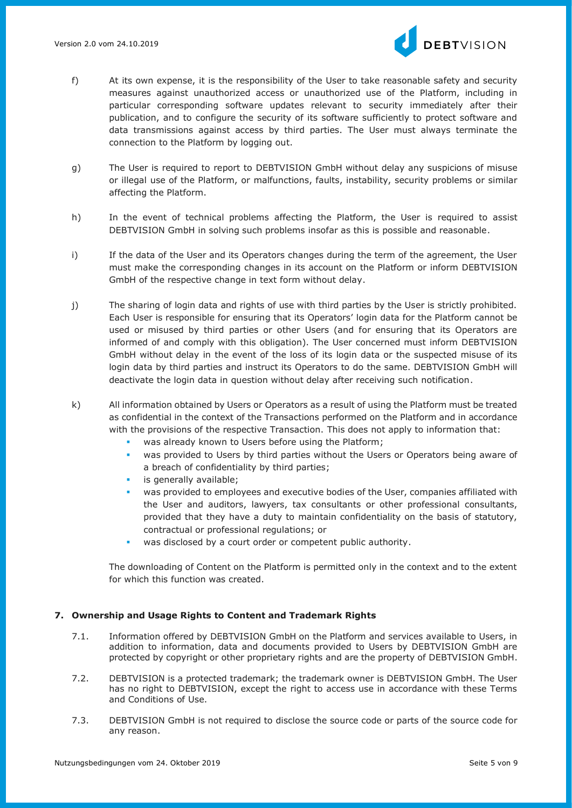

- f) At its own expense, it is the responsibility of the User to take reasonable safety and security measures against unauthorized access or unauthorized use of the Platform, including in particular corresponding software updates relevant to security immediately after their publication, and to configure the security of its software sufficiently to protect software and data transmissions against access by third parties. The User must always terminate the connection to the Platform by logging out.
- g) The User is required to report to DEBTVISION GmbH without delay any suspicions of misuse or illegal use of the Platform, or malfunctions, faults, instability, security problems or similar affecting the Platform.
- h) In the event of technical problems affecting the Platform, the User is required to assist DEBTVISION GmbH in solving such problems insofar as this is possible and reasonable.
- i) If the data of the User and its Operators changes during the term of the agreement, the User must make the corresponding changes in its account on the Platform or inform DEBTVISION GmbH of the respective change in text form without delay.
- j) The sharing of login data and rights of use with third parties by the User is strictly prohibited. Each User is responsible for ensuring that its Operators' login data for the Platform cannot be used or misused by third parties or other Users (and for ensuring that its Operators are informed of and comply with this obligation). The User concerned must inform DEBTVISION GmbH without delay in the event of the loss of its login data or the suspected misuse of its login data by third parties and instruct its Operators to do the same. DEBTVISION GmbH will deactivate the login data in question without delay after receiving such notification.
- k) All information obtained by Users or Operators as a result of using the Platform must be treated as confidential in the context of the Transactions performed on the Platform and in accordance with the provisions of the respective Transaction. This does not apply to information that:
	- was already known to Users before using the Platform;
	- was provided to Users by third parties without the Users or Operators being aware of a breach of confidentiality by third parties;
	- is generally available:
	- was provided to employees and executive bodies of the User, companies affiliated with the User and auditors, lawyers, tax consultants or other professional consultants, provided that they have a duty to maintain confidentiality on the basis of statutory, contractual or professional regulations; or
	- was disclosed by a court order or competent public authority.

The downloading of Content on the Platform is permitted only in the context and to the extent for which this function was created.

## **7. Ownership and Usage Rights to Content and Trademark Rights**

- 7.1. Information offered by DEBTVISION GmbH on the Platform and services available to Users, in addition to information, data and documents provided to Users by DEBTVISION GmbH are protected by copyright or other proprietary rights and are the property of DEBTVISION GmbH.
- 7.2. DEBTVISION is a protected trademark; the trademark owner is DEBTVISION GmbH. The User has no right to DEBTVISION, except the right to access use in accordance with these Terms and Conditions of Use.
- 7.3. DEBTVISION GmbH is not required to disclose the source code or parts of the source code for any reason.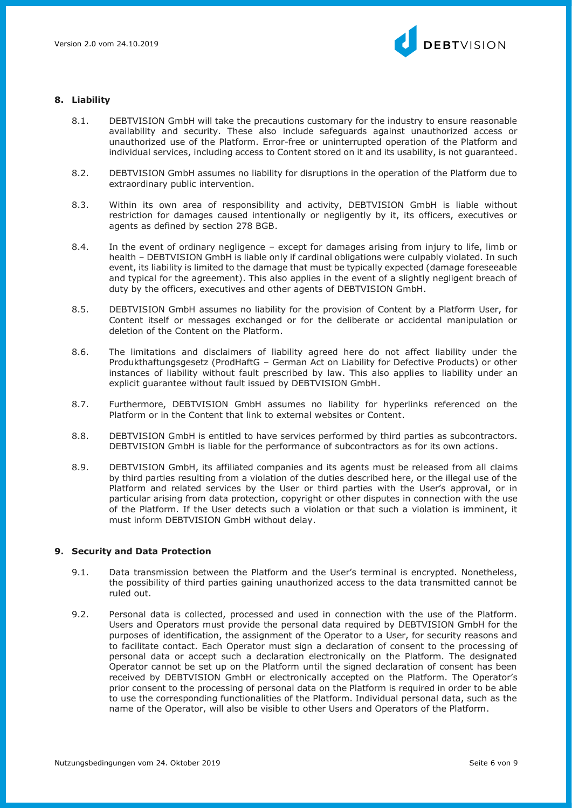

## **8. Liability**

- 8.1. DEBTVISION GmbH will take the precautions customary for the industry to ensure reasonable availability and security. These also include safeguards against unauthorized access or unauthorized use of the Platform. Error-free or uninterrupted operation of the Platform and individual services, including access to Content stored on it and its usability, is not guaranteed.
- 8.2. DEBTVISION GmbH assumes no liability for disruptions in the operation of the Platform due to extraordinary public intervention.
- 8.3. Within its own area of responsibility and activity, DEBTVISION GmbH is liable without restriction for damages caused intentionally or negligently by it, its officers, executives or agents as defined by section 278 BGB.
- 8.4. In the event of ordinary negligence except for damages arising from injury to life, limb or health – DEBTVISION GmbH is liable only if cardinal obligations were culpably violated. In such event, its liability is limited to the damage that must be typically expected (damage foreseeable and typical for the agreement). This also applies in the event of a slightly negligent breach of duty by the officers, executives and other agents of DEBTVISION GmbH.
- 8.5. DEBTVISION GmbH assumes no liability for the provision of Content by a Platform User, for Content itself or messages exchanged or for the deliberate or accidental manipulation or deletion of the Content on the Platform.
- 8.6. The limitations and disclaimers of liability agreed here do not affect liability under the Produkthaftungsgesetz (ProdHaftG – German Act on Liability for Defective Products) or other instances of liability without fault prescribed by law. This also applies to liability under an explicit guarantee without fault issued by DEBTVISION GmbH.
- 8.7. Furthermore, DEBTVISION GmbH assumes no liability for hyperlinks referenced on the Platform or in the Content that link to external websites or Content.
- 8.8. DEBTVISION GmbH is entitled to have services performed by third parties as subcontractors. DEBTVISION GmbH is liable for the performance of subcontractors as for its own actions.
- 8.9. DEBTVISION GmbH, its affiliated companies and its agents must be released from all claims by third parties resulting from a violation of the duties described here, or the illegal use of the Platform and related services by the User or third parties with the User's approval, or in particular arising from data protection, copyright or other disputes in connection with the use of the Platform. If the User detects such a violation or that such a violation is imminent, it must inform DEBTVISION GmbH without delay.

## **9. Security and Data Protection**

- 9.1. Data transmission between the Platform and the User's terminal is encrypted. Nonetheless, the possibility of third parties gaining unauthorized access to the data transmitted cannot be ruled out.
- 9.2. Personal data is collected, processed and used in connection with the use of the Platform. Users and Operators must provide the personal data required by DEBTVISION GmbH for the purposes of identification, the assignment of the Operator to a User, for security reasons and to facilitate contact. Each Operator must sign a declaration of consent to the processing of personal data or accept such a declaration electronically on the Platform. The designated Operator cannot be set up on the Platform until the signed declaration of consent has been received by DEBTVISION GmbH or electronically accepted on the Platform. The Operator's prior consent to the processing of personal data on the Platform is required in order to be able to use the corresponding functionalities of the Platform. Individual personal data, such as the name of the Operator, will also be visible to other Users and Operators of the Platform.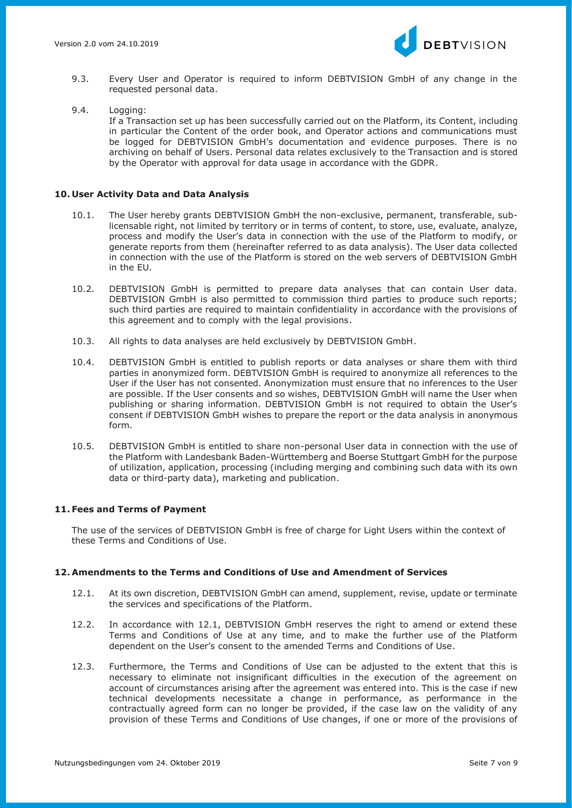

- 9.3. Every User and Operator is required to inform DEBTVISION GmbH of any change in the requested personal data.
- 9.4. Logging:

If a Transaction set up has been successfully carried out on the Platform, its Content, including in particular the Content of the order book, and Operator actions and communications must be logged for DEBTVISION GmbH's documentation and evidence purposes. There is no archiving on behalf of Users. Personal data relates exclusively to the Transaction and is stored by the Operator with approval for data usage in accordance with the GDPR.

#### **10. User Activity Data and Data Analysis**

- 10.1. The User hereby grants DEBTVISION GmbH the non-exclusive, permanent, transferable, sublicensable right, not limited by territory or in terms of content, to store, use, evaluate, analyze, process and modify the User's data in connection with the use of the Platform to modify, or generate reports from them (hereinafter referred to as data analysis). The User data collected in connection with the use of the Platform is stored on the web servers of DEBTVISION GmbH in the EU.
- 10.2. DEBTVISION GmbH is permitted to prepare data analyses that can contain User data. DEBTVISION GmbH is also permitted to commission third parties to produce such reports; such third parties are required to maintain confidentiality in accordance with the provisions of this agreement and to comply with the legal provisions.
- 10.3. All rights to data analyses are held exclusively by DEBTVISION GmbH.
- 10.4. DEBTVISION GmbH is entitled to publish reports or data analyses or share them with third parties in anonymized form. DEBTVISION GmbH is required to anonymize all references to the User if the User has not consented. Anonymization must ensure that no inferences to the User are possible. If the User consents and so wishes, DEBTVISION GmbH will name the User when publishing or sharing information. DEBTVISION GmbH is not required to obtain the User's consent if DEBTVISION GmbH wishes to prepare the report or the data analysis in anonymous form.
- 10.5. DEBTVISION GmbH is entitled to share non-personal User data in connection with the use of the Platform with Landesbank Baden-Württemberg and Boerse Stuttgart GmbH for the purpose of utilization, application, processing (including merging and combining such data with its own data or third-party data), marketing and publication.

## **11. Fees and Terms of Payment**

The use of the services of DEBTVISION GmbH is free of charge for Light Users within the context of these Terms and Conditions of Use.

## **12. Amendments to the Terms and Conditions of Use and Amendment of Services**

- 12.1. At its own discretion, DEBTVISION GmbH can amend, supplement, revise, update or terminate the services and specifications of the Platform.
- 12.2. In accordance with 12.1, DEBTVISION GmbH reserves the right to amend or extend these Terms and Conditions of Use at any time, and to make the further use of the Platform dependent on the User's consent to the amended Terms and Conditions of Use.
- 12.3. Furthermore, the Terms and Conditions of Use can be adjusted to the extent that this is necessary to eliminate not insignificant difficulties in the execution of the agreement on account of circumstances arising after the agreement was entered into. This is the case if new technical developments necessitate a change in performance, as performance in the contractually agreed form can no longer be provided, if the case law on the validity of any provision of these Terms and Conditions of Use changes, if one or more of the provisions of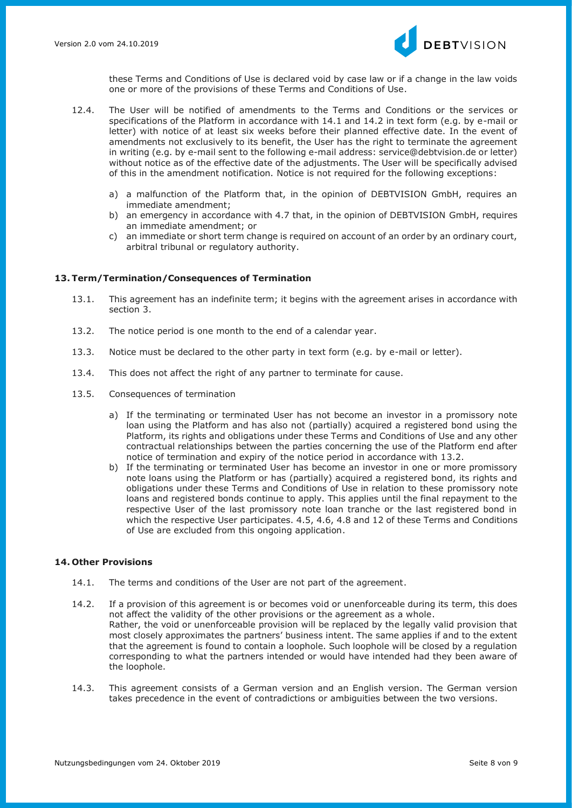

these Terms and Conditions of Use is declared void by case law or if a change in the law voids one or more of the provisions of these Terms and Conditions of Use.

- 12.4. The User will be notified of amendments to the Terms and Conditions or the services or specifications of the Platform in accordance with 14.1 and 14.2 in text form (e.g. by e-mail or letter) with notice of at least six weeks before their planned effective date. In the event of amendments not exclusively to its benefit, the User has the right to terminate the agreement in writing (e.g. by e-mail sent to the following e-mail address: service@debtvision.de or letter) without notice as of the effective date of the adjustments. The User will be specifically advised of this in the amendment notification. Notice is not required for the following exceptions:
	- a) a malfunction of the Platform that, in the opinion of DEBTVISION GmbH, requires an immediate amendment;
	- b) an emergency in accordance with 4.7 that, in the opinion of DEBTVISION GmbH, requires an immediate amendment; or
	- c) an immediate or short term change is required on account of an order by an ordinary court, arbitral tribunal or regulatory authority.

## **13. Term/Termination/Consequences of Termination**

- 13.1. This agreement has an indefinite term; it begins with the agreement arises in accordance with section 3.
- 13.2. The notice period is one month to the end of a calendar year.
- 13.3. Notice must be declared to the other party in text form (e.g. by e-mail or letter).
- 13.4. This does not affect the right of any partner to terminate for cause.
- 13.5. Consequences of termination
	- a) If the terminating or terminated User has not become an investor in a promissory note loan using the Platform and has also not (partially) acquired a registered bond using the Platform, its rights and obligations under these Terms and Conditions of Use and any other contractual relationships between the parties concerning the use of the Platform end after notice of termination and expiry of the notice period in accordance with 13.2.
	- b) If the terminating or terminated User has become an investor in one or more promissory note loans using the Platform or has (partially) acquired a registered bond, its rights and obligations under these Terms and Conditions of Use in relation to these promissory note loans and registered bonds continue to apply. This applies until the final repayment to the respective User of the last promissory note loan tranche or the last registered bond in which the respective User participates. 4.5, 4.6, 4.8 and 12 of these Terms and Conditions of Use are excluded from this ongoing application.

## **14. Other Provisions**

- 14.1. The terms and conditions of the User are not part of the agreement.
- 14.2. If a provision of this agreement is or becomes void or unenforceable during its term, this does not affect the validity of the other provisions or the agreement as a whole. Rather, the void or unenforceable provision will be replaced by the legally valid provision that most closely approximates the partners' business intent. The same applies if and to the extent that the agreement is found to contain a loophole. Such loophole will be closed by a regulation corresponding to what the partners intended or would have intended had they been aware of the loophole.
- 14.3. This agreement consists of a German version and an English version. The German version takes precedence in the event of contradictions or ambiguities between the two versions.